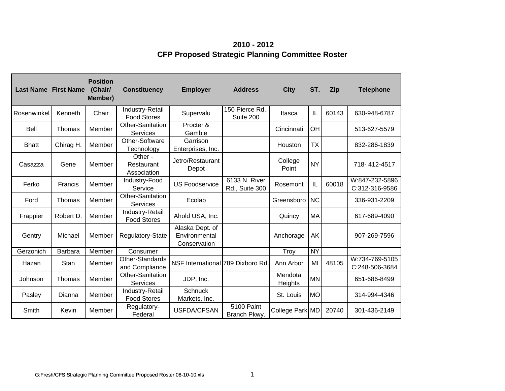**2010 - 2012 CFP Proposed Strategic Planning Committee Roster**

| <b>Last Name First Name</b> |           | <b>Position</b><br>(Chair/<br>Member) | <b>Constituency</b>                   | <b>Employer</b>                                  | <b>Address</b>                  | <b>City</b>        | ST.       | Zip   | <b>Telephone</b>                 |
|-----------------------------|-----------|---------------------------------------|---------------------------------------|--------------------------------------------------|---------------------------------|--------------------|-----------|-------|----------------------------------|
| Rosenwinkel                 | Kenneth   | Chair                                 | Industry-Retail<br><b>Food Stores</b> | Supervalu                                        | 150 Pierce Rd.,<br>Suite 200    | Itasca             | IL        | 60143 | 630-948-6787                     |
| Bell                        | Thomas    | Member                                | Other-Sanitation<br><b>Services</b>   | Procter &<br>Gamble                              |                                 | Cincinnati         | OH        |       | 513-627-5579                     |
| <b>Bhatt</b>                | Chirag H. | Member                                | Other-Software<br>Technology          | Garrison<br>Enterprises, Inc.                    |                                 | Houston            | TX        |       | 832-286-1839                     |
| Casazza                     | Gene      | Member                                | Other -<br>Restaurant<br>Association  | Jetro/Restaurant<br>Depot                        |                                 | College<br>Point   | <b>NY</b> |       | 718-412-4517                     |
| Ferko                       | Francis   | Member                                | Industry-Food<br>Service              | <b>US Foodservice</b>                            | 6133 N. River<br>Rd., Suite 300 | Rosemont           | IL        | 60018 | W:847-232-5896<br>C:312-316-9586 |
| Ford                        | Thomas    | Member                                | Other-Sanitation<br><b>Services</b>   | Ecolab                                           |                                 | Greensboro         | <b>NC</b> |       | 336-931-2209                     |
| Frappier                    | Robert D. | Member                                | Industry-Retail<br><b>Food Stores</b> | Ahold USA, Inc.                                  |                                 | Quincy             | MA        |       | 617-689-4090                     |
| Gentry                      | Michael   | Member                                | Regulatory-State                      | Alaska Dept. of<br>Environmental<br>Conservation |                                 | Anchorage          | AK        |       | 907-269-7596                     |
| Gerzonich                   | Barbara   | Member                                | Consumer                              |                                                  |                                 | Troy               | <b>NY</b> |       |                                  |
| Hazan                       | Stan      | Member                                | Other-Standards<br>and Compliance     | NSF International 789 Dixboro Rd.                |                                 | Ann Arbor          | MI        | 48105 | W:734-769-5105<br>C:248-506-3684 |
| Johnson                     | Thomas    | Member                                | Other-Sanitation<br><b>Services</b>   | JDP, Inc.                                        |                                 | Mendota<br>Heights | <b>MN</b> |       | 651-686-8499                     |
| Pasley                      | Dianna    | Member                                | Industry-Retail<br><b>Food Stores</b> | <b>Schnuck</b><br>Markets, Inc.                  |                                 | St. Louis          | <b>MO</b> |       | 314-994-4346                     |
| Smith                       | Kevin     | Member                                | Regulatory-<br>Federal                | USFDA/CFSAN                                      | 5100 Paint<br>Branch Pkwy.      | College Park MD    |           | 20740 | 301-436-2149                     |